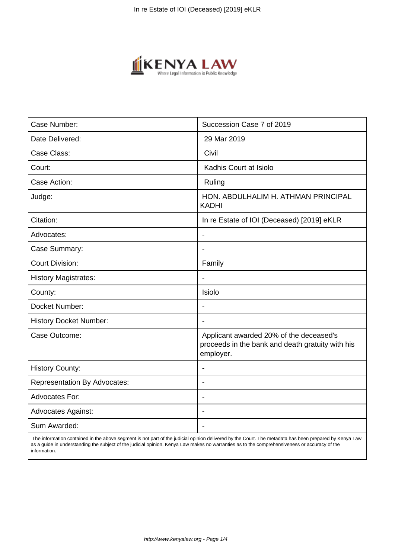

| Case Number:                        | Succession Case 7 of 2019                                                                                |
|-------------------------------------|----------------------------------------------------------------------------------------------------------|
| Date Delivered:                     | 29 Mar 2019                                                                                              |
| Case Class:                         | Civil                                                                                                    |
| Court:                              | Kadhis Court at Isiolo                                                                                   |
| Case Action:                        | Ruling                                                                                                   |
| Judge:                              | HON. ABDULHALIM H. ATHMAN PRINCIPAL<br><b>KADHI</b>                                                      |
| Citation:                           | In re Estate of IOI (Deceased) [2019] eKLR                                                               |
| Advocates:                          |                                                                                                          |
| Case Summary:                       |                                                                                                          |
| <b>Court Division:</b>              | Family                                                                                                   |
| <b>History Magistrates:</b>         | $\blacksquare$                                                                                           |
| County:                             | Isiolo                                                                                                   |
| Docket Number:                      |                                                                                                          |
| <b>History Docket Number:</b>       | $\blacksquare$                                                                                           |
| Case Outcome:                       | Applicant awarded 20% of the deceased's<br>proceeds in the bank and death gratuity with his<br>employer. |
| <b>History County:</b>              | $\blacksquare$                                                                                           |
| <b>Representation By Advocates:</b> | $\overline{\phantom{a}}$                                                                                 |
| <b>Advocates For:</b>               | $\blacksquare$                                                                                           |
| <b>Advocates Against:</b>           | $\blacksquare$                                                                                           |
| Sum Awarded:                        |                                                                                                          |

 The information contained in the above segment is not part of the judicial opinion delivered by the Court. The metadata has been prepared by Kenya Law as a guide in understanding the subject of the judicial opinion. Kenya Law makes no warranties as to the comprehensiveness or accuracy of the information.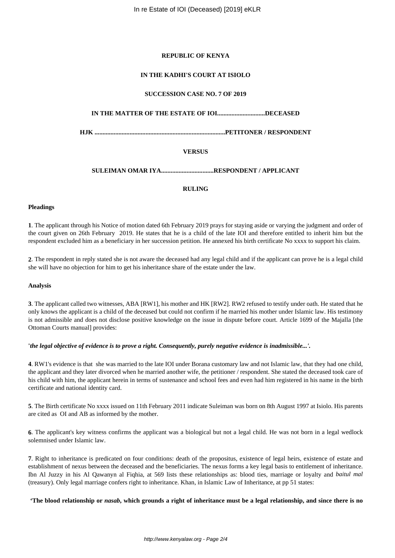# **REPUBLIC OF KENYA**

## **IN THE KADHI'S COURT AT ISIOLO**

# **SUCCESSION CASE NO. 7 OF 2019**

# **IN THE MATTER OF THE ESTATE OF IOI..............................DECEASED**

**HJK ..................................................................................PETITONER / RESPONDENT**

## **VERSUS**

## **SULEIMAN OMAR IYA.................................RESPONDENT / APPLICANT**

# **RULING**

## **Pleadings**

**1**. The applicant through his Notice of motion dated 6th February 2019 prays for staying aside or varying the judgment and order of the court given on 26th February 2019. He states that he is a child of the late IOI and therefore entitled to inherit him but the respondent excluded him as a beneficiary in her succession petition. He annexed his birth certificate No xxxx to support his claim.

**2**. The respondent in reply stated she is not aware the deceased had any legal child and if the applicant can prove he is a legal child she will have no objection for him to get his inheritance share of the estate under the law.

#### **Analysis**

**3**. The applicant called two witnesses, ABA [RW1], his mother and HK [RW2]. RW2 refused to testify under oath. He stated that he only knows the applicant is a child of the deceased but could not confirm if he married his mother under Islamic law. His testimony is not admissible and does not disclose positive knowledge on the issue in dispute before court. Article 1699 of the Majalla [the Ottoman Courts manual] provides:

### **'***the legal objective of evidence is to prove a right. Consequently, purely negative evidence is inadmissible...'.*

**4**. RW1's evidence is that she was married to the late IOI under Borana customary law and not Islamic law, that they had one child, the applicant and they later divorced when he married another wife, the petitioner / respondent. She stated the deceased took care of his child with him, the applicant herein in terms of sustenance and school fees and even had him registered in his name in the birth certificate and national identity card.

**5**. The Birth certificate No xxxx issued on 11th February 2011 indicate Suleiman was born on 8th August 1997 at Isiolo. His parents are cited as OI and AB as informed by the mother.

**6**. The applicant's key witness confirms the applicant was a biological but not a legal child. He was not born in a legal wedlock solemnised under Islamic law.

**7**. Right to inheritance is predicated on four conditions: death of the propositus, existence of legal heirs, existence of estate and establishment of nexus between the deceased and the beneficiaries. The nexus forms a key legal basis to entitlement of inheritance. Ibn Al Juzzy in his Al Qawanyn al Fiqhia, at 569 lists these relationships as: blood ties, marriage or loyalty and *baitul mal* (treasury). Only legal marriage confers right to inheritance. Khan, in Islamic Law of Inheritance, at pp 51 states:

**'The blood relationship or** *nasab***, which grounds a right of inheritance must be a legal relationship, and since there is no**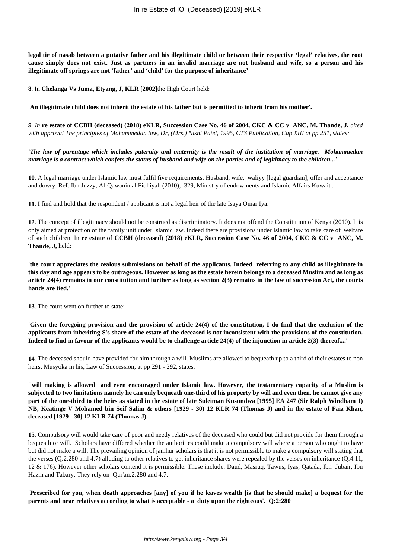**legal tie of nasab between a putative father and his illegitimate child or between their respective 'legal' relatives, the root cause simply does not exist. Just as partners in an invalid marriage are not husband and wife, so a person and his illegitimate off springs are not 'father' and 'child' for the purpose of inheritance'** 

**8**. In **Chelanga Vs Juma, Etyang, J, KLR [2002]**the High Court held:

## **'An illegitimate child does not inherit the estate of his father but is permitted to inherit from his mother'.**

*9. In* **re estate of CCBH (deceased) (2018) eKLR, Succession Case No. 46 of 2004, CKC & CC v ANC, M. Thande, J,** *cited with approval The principles of Mohammedan law, Dr, (Mrs.) Nishi Patel, 1995, CTS Publication, Cap XIII at pp 251, states:* 

*'The law of parentage which includes paternity and maternity is the result of the institution of marriage. Mohammedan marriage is a contract which confers the status of husband and wife on the parties and of legitimacy to the children...''*

**10**. A legal marriage under Islamic law must fulfil five requirements: Husband, wife, waliyy [legal guardian], offer and acceptance and dowry. Ref: Ibn Juzzy, Al-Qawanin al Fiqhiyah (2010), 329, Ministry of endowments and Islamic Affairs Kuwait .

**11**. I find and hold that the respondent / applicant is not a legal heir of the late Isaya Omar Iya.

**12**. The concept of illegitimacy should not be construed as discriminatory. It does not offend the Constitution of Kenya (2010). It is only aimed at protection of the family unit under Islamic law. Indeed there are provisions under Islamic law to take care of welfare of such children. In **re estate of CCBH (deceased) (2018) eKLR, Succession Case No. 46 of 2004, CKC & CC v ANC, M. Thande, J,** held:

**'the court appreciates the zealous submissions on behalf of the applicants. Indeed referring to any child as illegitimate in this day and age appears to be outrageous. However as long as the estate herein belongs to a deceased Muslim and as long as article 24(4) remains in our constitution and further as long as section 2(3) remains in the law of succession Act, the courts hands are tied.'** 

**13**. The court went on further to state:

**'Given the foregoing provision and the provision of article 24(4) of the constitution, I do find that the exclusion of the applicants from inheriting S's share of the estate of the deceased is not inconsistent with the provisions of the constitution. Indeed to find in favour of the applicants would be to challenge article 24(4) of the injunction in article 2(3) thereof....'**

**14**. The deceased should have provided for him through a will. Muslims are allowed to bequeath up to a third of their estates to non heirs. Musyoka in his, Law of Succession, at pp 291 - 292, states:

**''will making is allowed and even encouraged under Islamic law. However, the testamentary capacity of a Muslim is subjected to two limitations namely he can only bequeath one-third of his property by will and even then, he cannot give any part of the one-third to the heirs as stated in the estate of late Suleiman Kusundwa [1995] EA 247 (Sir Ralph Windham J) NB, Keatinge V Mohamed bin Seif Salim & others [1929 - 30) 12 KLR 74 (Thomas J) and in the estate of Faiz Khan, deceased [1929 - 30] 12 KLR 74 (Thomas J).**

**15**. Compulsory will would take care of poor and needy relatives of the deceased who could but did not provide for them through a bequeath or will. Scholars have differed whether the authorities could make a compulsory will where a person who ought to have but did not make a will. The prevailing opinion of jamhur scholars is that it is not permissible to make a compulsory will stating that the verses (Q:2:280 and 4:7) alluding to other relatives to get inheritance shares were repealed by the verses on inheritance (Q:4:11, 12 & 176). However other scholars contend it is permissible. These include: Daud, Masruq, Tawus, Iyas, Qatada, Ibn Jubair, Ibn Hazm and Tabary. They rely on Qur'an:2:280 and 4:7.

**'Prescribed for you, when death approaches [any] of you if he leaves wealth [is that he should make] a bequest for the parents and near relatives according to what is acceptable - a duty upon the righteous'. Q:2:280**